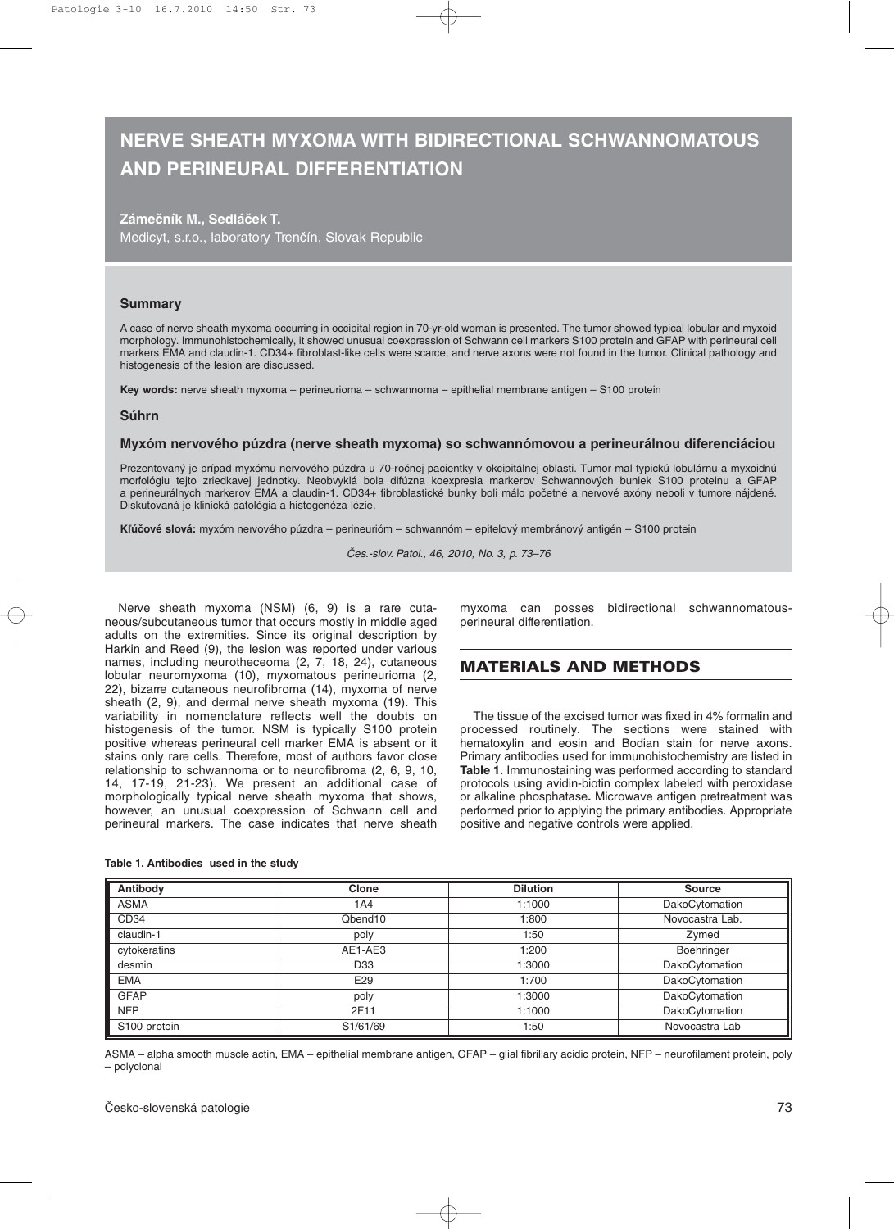# **NERVE SHEATH MYXOMA WITH BIDIRECTIONAL SCHWANNOMATOUS AND PERINEURAL DIFFERENTIATION**

# **Zámečník M., Sedláček T.** Medicyt, s.r.o., laboratory Trenčín, Slovak Republic

#### **Summary**

A case of nerve sheath myxoma occurring in occipital region in 70-yr-old woman is presented. The tumor showed typical lobular and myxoid morphology. Immunohistochemically, it showed unusual coexpression of Schwann cell markers S100 protein and GFAP with perineural cell markers EMA and claudin-1. CD34+ fibroblast-like cells were scarce, and nerve axons were not found in the tumor. Clinical pathology and histogenesis of the lesion are discussed.

**Key words:** nerve sheath myxoma – perineurioma – schwannoma – epithelial membrane antigen – S100 protein

#### **Súhrn**

#### **Myxóm nervového púzdra (nerve sheath myxoma) so schwannómovou a perineurálnou diferenciáciou**

Prezentovaný je prípad myxómu nervového púzdra u 70-ročnej pacientky v okcipitálnej oblasti. Tumor mal typickú lobulárnu a myxoidnú morfológiu tejto zriedkavej jednotky. Neobvyklá bola difúzna koexpresia markerov Schwannových buniek S100 proteinu a GFAP a perineurálnych markerov EMA a claudin-1. CD34+ fibroblastické bunky boli málo početné a nervové axóny neboli v tumore nájdené. Diskutovaná je klinická patológia a histogenéza lézie.

**Kľúčové slová:** myxóm nervového púzdra – perineurióm – schwannóm – epitelový membránový antigén – S100 protein

Čes.-slov. Patol., 46, 2010, No. 3, p. 73–76

Nerve sheath myxoma (NSM) (6, 9) is a rare cutaneous/subcutaneous tumor that occurs mostly in middle aged adults on the extremities. Since its original description by Harkin and Reed (9), the lesion was reported under various names, including neurotheceoma (2, 7, 18, 24), cutaneous lobular neuromyxoma (10), myxomatous perineurioma (2, 22), bizarre cutaneous neurofibroma (14), myxoma of nerve sheath (2, 9), and dermal nerve sheath myxoma (19). This variability in nomenclature reflects well the doubts on histogenesis of the tumor. NSM is typically S100 protein positive whereas perineural cell marker EMA is absent or it stains only rare cells. Therefore, most of authors favor close relationship to schwannoma or to neurofibroma (2, 6, 9, 10, 14, 17-19, 21-23). We present an additional case of morphologically typical nerve sheath myxoma that shows, however, an unusual coexpression of Schwann cell and perineural markers. The case indicates that nerve sheath

| Table 1. Antibodies used in the study |  |  |  |
|---------------------------------------|--|--|--|
|---------------------------------------|--|--|--|

myxoma can posses bidirectional schwannomatousperineural differentiation.

# **MATERIALS AND METHODS**

The tissue of the excised tumor was fixed in 4% formalin and processed routinely. The sections were stained with hematoxylin and eosin and Bodian stain for nerve axons. Primary antibodies used for immunohistochemistry are listed in **Table 1**. Immunostaining was performed according to standard protocols using avidin-biotin complex labeled with peroxidase or alkaline phosphatase**.** Microwave antigen pretreatment was performed prior to applying the primary antibodies. Appropriate positive and negative controls were applied.

| Antibody         | Clone               | <b>Dilution</b> | <b>Source</b>   |
|------------------|---------------------|-----------------|-----------------|
| <b>ASMA</b>      | 1A4                 | 1:1000          | DakoCytomation  |
| CD <sub>34</sub> | Qbend <sub>10</sub> | 1:800           | Novocastra Lab. |
| claudin-1        | poly                | 1:50            | Zymed           |
| cytokeratins     | AE1-AE3             | 1:200           | Boehringer      |
| desmin           | D <sub>33</sub>     | 1:3000          | DakoCytomation  |
| <b>EMA</b>       | E <sub>29</sub>     | 1:700           | DakoCytomation  |
| <b>GFAP</b>      | poly                | 1:3000          | DakoCytomation  |
| <b>NFP</b>       | 2F11                | 1:1000          | DakoCytomation  |
| S100 protein     | S1/61/69            | 1:50            | Novocastra Lab  |

ASMA – alpha smooth muscle actin, EMA – epithelial membrane antigen, GFAP – glial fibrillary acidic protein, NFP – neurofilament protein, poly – polyclonal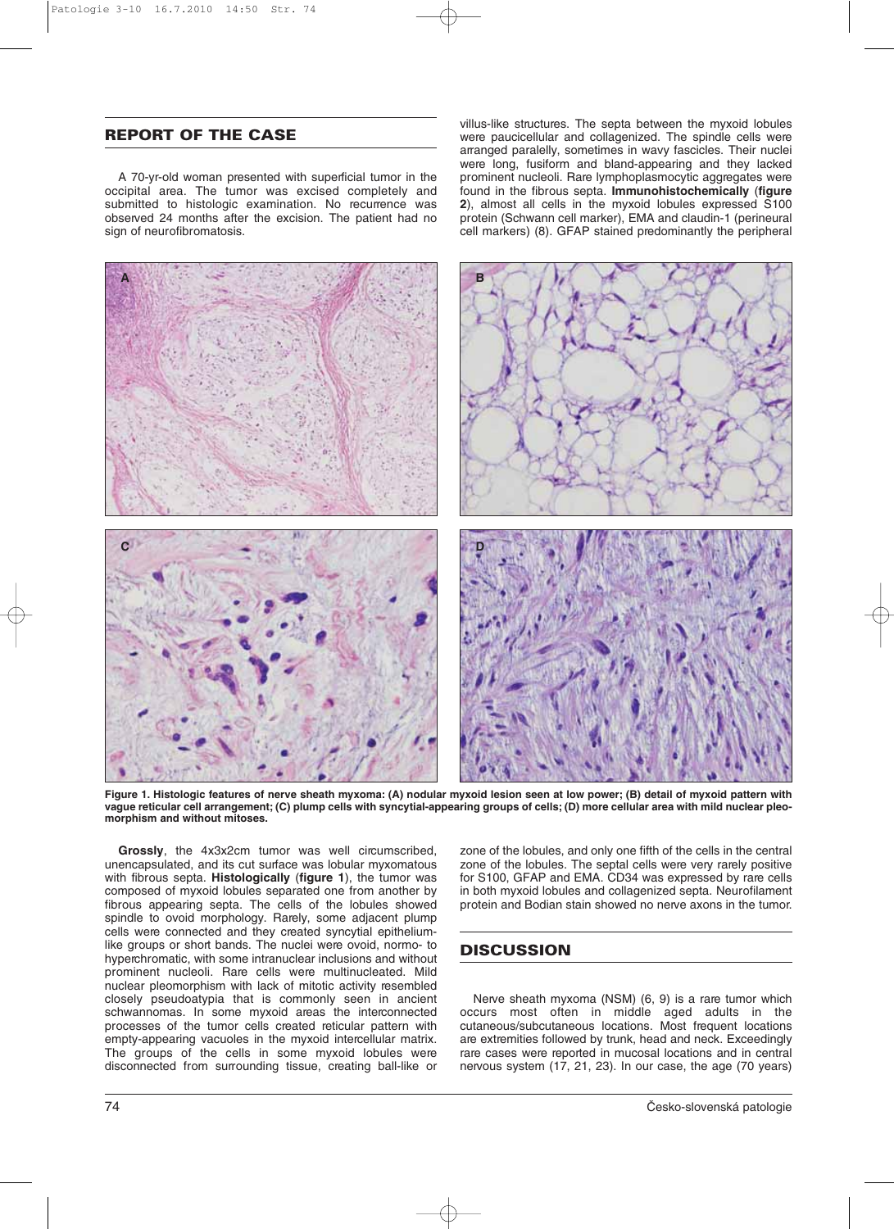# **REPORT OF THE CASE**

A 70-yr-old woman presented with superficial tumor in the occipital area. The tumor was excised completely and submitted to histologic examination. No recurrence was observed 24 months after the excision. The patient had no sign of neurofibromatosis.

villus-like structures. The septa between the myxoid lobules were paucicellular and collagenized. The spindle cells were arranged paralelly, sometimes in wavy fascicles. Their nuclei were long, fusiform and bland-appearing and they lacked prominent nucleoli. Rare lymphoplasmocytic aggregates were found in the fibrous septa. **Immunohistochemically** (**figure 2**), almost all cells in the myxoid lobules expressed S100 protein (Schwann cell marker), EMA and claudin-1 (perineural cell markers) (8). GFAP stained predominantly the peripheral



**Figure 1. Histologic features of nerve sheath myxoma: (A) nodular myxoid lesion seen at low power; (B) detail of myxoid pattern with vague reticular cell arrangement; (C) plump cells with syncytial-appearing groups of cells; (D) more cellular area with mild nuclear pleomorphism and without mitoses.**

**Grossly**, the 4x3x2cm tumor was well circumscribed, unencapsulated, and its cut surface was lobular myxomatous with fibrous septa. **Histologically** (**figure 1**), the tumor was composed of myxoid lobules separated one from another by fibrous appearing septa. The cells of the lobules showed spindle to ovoid morphology. Rarely, some adjacent plump cells were connected and they created syncytial epitheliumlike groups or short bands. The nuclei were ovoid, normo- to hyperchromatic, with some intranuclear inclusions and without prominent nucleoli. Rare cells were multinucleated. Mild nuclear pleomorphism with lack of mitotic activity resembled closely pseudoatypia that is commonly seen in ancient schwannomas. In some myxoid areas the interconnected processes of the tumor cells created reticular pattern with empty-appearing vacuoles in the myxoid intercellular matrix. The groups of the cells in some myxoid lobules were disconnected from surrounding tissue, creating ball-like or zone of the lobules, and only one fifth of the cells in the central zone of the lobules. The septal cells were very rarely positive for S100, GFAP and EMA. CD34 was expressed by rare cells in both myxoid lobules and collagenized septa. Neurofilament protein and Bodian stain showed no nerve axons in the tumor.

# **DISCUSSION**

Nerve sheath myxoma (NSM) (6, 9) is a rare tumor which occurs most often in middle aged adults in the cutaneous/subcutaneous locations. Most frequent locations are extremities followed by trunk, head and neck. Exceedingly rare cases were reported in mucosal locations and in central nervous system (17, 21, 23). In our case, the age (70 years)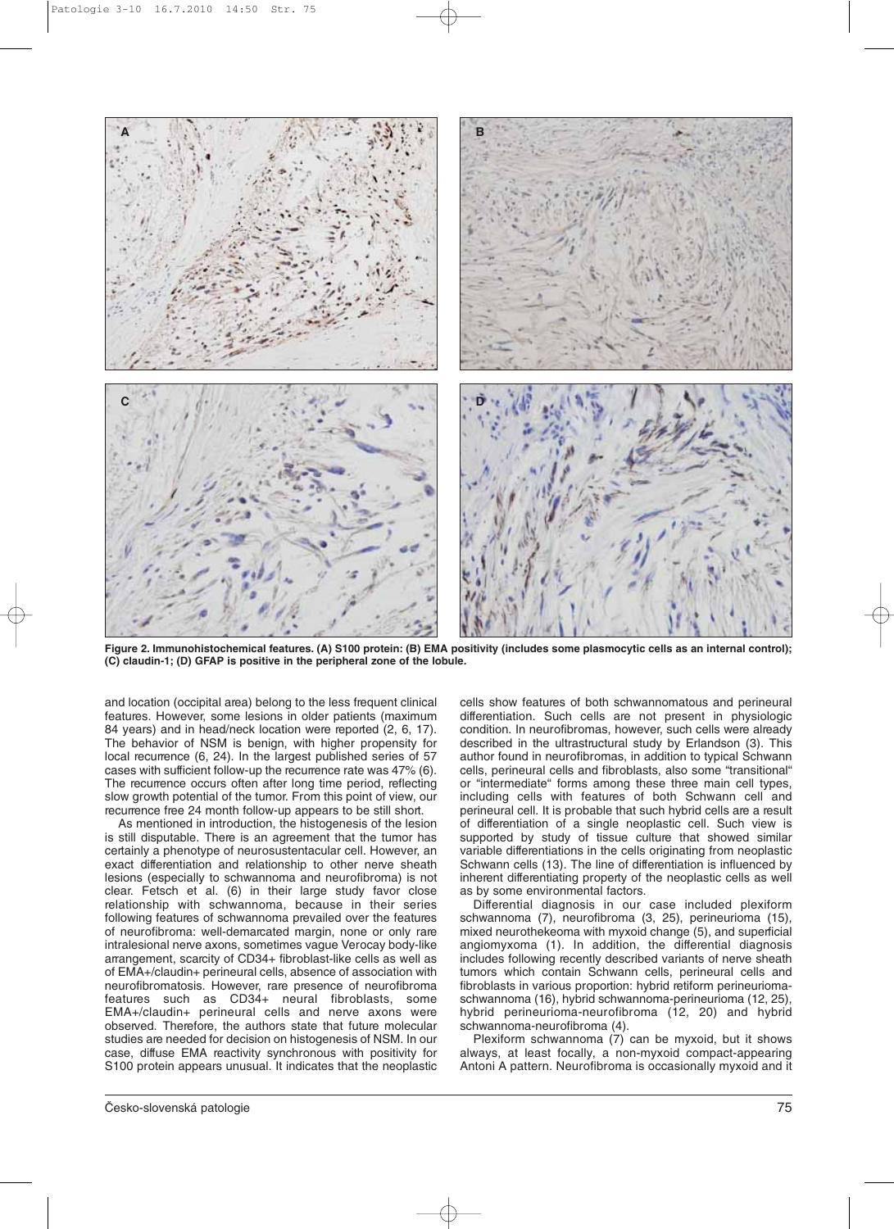

**Figure 2. Immunohistochemical features. (A) S100 protein: (B) EMA positivity (includes some plasmocytic cells as an internal control); (C) claudin-1; (D) GFAP is positive in the peripheral zone of the lobule.**

and location (occipital area) belong to the less frequent clinical features. However, some lesions in older patients (maximum 84 years) and in head/neck location were reported (2, 6, 17). The behavior of NSM is benign, with higher propensity for local recurrence (6, 24). In the largest published series of 57 cases with sufficient follow-up the recurrence rate was 47% (6). The recurrence occurs often after long time period, reflecting slow growth potential of the tumor. From this point of view, our recurrence free 24 month follow-up appears to be still short.

As mentioned in introduction, the histogenesis of the lesion is still disputable. There is an agreement that the tumor has certainly a phenotype of neurosustentacular cell. However, an exact differentiation and relationship to other nerve sheath lesions (especially to schwannoma and neurofibroma) is not clear. Fetsch et al. (6) in their large study favor close relationship with schwannoma, because in their series following features of schwannoma prevailed over the features of neurofibroma: well-demarcated margin, none or only rare intralesional nerve axons, sometimes vague Verocay body-like arrangement, scarcity of CD34+ fibroblast-like cells as well as of EMA+/claudin+ perineural cells, absence of association with neurofibromatosis. However, rare presence of neurofibroma features such as CD34+ neural fibroblasts, some EMA+/claudin+ perineural cells and nerve axons were observed. Therefore, the authors state that future molecular studies are needed for decision on histogenesis of NSM. In our case, diffuse EMA reactivity synchronous with positivity for S100 protein appears unusual. It indicates that the neoplastic

cells show features of both schwannomatous and perineural differentiation. Such cells are not present in physiologic condition. In neurofibromas, however, such cells were already described in the ultrastructural study by Erlandson (3). This author found in neurofibromas, in addition to typical Schwann cells, perineural cells and fibroblasts, also some "transitional" or "intermediate" forms among these three main cell types, including cells with features of both Schwann cell and perineural cell. It is probable that such hybrid cells are a result of differentiation of a single neoplastic cell. Such view is supported by study of tissue culture that showed similar variable differentiations in the cells originating from neoplastic Schwann cells (13). The line of differentiation is influenced by inherent differentiating property of the neoplastic cells as well as by some environmental factors.

Differential diagnosis in our case included plexiform schwannoma (7), neurofibroma (3, 25), perineurioma (15), mixed neurothekeoma with myxoid change (5), and superficial angiomyxoma (1). In addition, the differential diagnosis includes following recently described variants of nerve sheath tumors which contain Schwann cells, perineural cells and fibroblasts in various proportion: hybrid retiform perineuriomaschwannoma (16), hybrid schwannoma-perineurioma (12, 25), hybrid perineurioma-neurofibroma (12, 20) and hybrid schwannoma-neurofibroma (4).

Plexiform schwannoma (7) can be myxoid, but it shows always, at least focally, a non-myxoid compact-appearing Antoni A pattern. Neurofibroma is occasionally myxoid and it